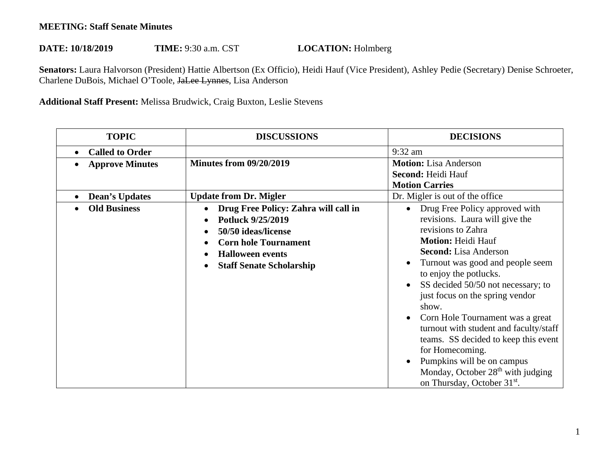## **MEETING: Staff Senate Minutes**

## DATE: 10/18/2019 TIME: 9:30 a.m. CST **LOCATION:** Holmberg

 **Senators:** Laura Halvorson (President) Hattie Albertson (Ex Officio), Heidi Hauf (Vice President), Ashley Pedie (Secretary) Denise Schroeter, Charlene DuBois, Michael O'Toole, JaLee Lynnes, Lisa Anderson

## **Additional Staff Present:** Melissa Brudwick, Craig Buxton, Leslie Stevens

| <b>TOPIC</b>           | <b>DISCUSSIONS</b>                                                                                                                                                            | <b>DECISIONS</b>                                                                                                                                                                                                                                                                                                                                                                                                                                                                                                                                                                    |
|------------------------|-------------------------------------------------------------------------------------------------------------------------------------------------------------------------------|-------------------------------------------------------------------------------------------------------------------------------------------------------------------------------------------------------------------------------------------------------------------------------------------------------------------------------------------------------------------------------------------------------------------------------------------------------------------------------------------------------------------------------------------------------------------------------------|
| <b>Called to Order</b> |                                                                                                                                                                               | 9:32 am                                                                                                                                                                                                                                                                                                                                                                                                                                                                                                                                                                             |
| <b>Approve Minutes</b> | <b>Minutes from 09/20/2019</b>                                                                                                                                                | <b>Motion:</b> Lisa Anderson<br>Second: Heidi Hauf<br><b>Motion Carries</b>                                                                                                                                                                                                                                                                                                                                                                                                                                                                                                         |
| <b>Dean's Updates</b>  | <b>Update from Dr. Migler</b>                                                                                                                                                 | Dr. Migler is out of the office                                                                                                                                                                                                                                                                                                                                                                                                                                                                                                                                                     |
| <b>Old Business</b>    | Drug Free Policy: Zahra will call in<br>Potluck 9/25/2019<br>50/50 ideas/license<br><b>Corn hole Tournament</b><br><b>Halloween events</b><br><b>Staff Senate Scholarship</b> | Drug Free Policy approved with<br>$\bullet$<br>revisions. Laura will give the<br>revisions to Zahra<br><b>Motion: Heidi Hauf</b><br><b>Second:</b> Lisa Anderson<br>Turnout was good and people seem<br>to enjoy the potlucks.<br>SS decided 50/50 not necessary; to<br>just focus on the spring vendor<br>show.<br>Corn Hole Tournament was a great<br>turnout with student and faculty/staff<br>teams. SS decided to keep this event<br>for Homecoming.<br>Pumpkins will be on campus<br>Monday, October 28 <sup>th</sup> with judging<br>on Thursday, October 31 <sup>st</sup> . |